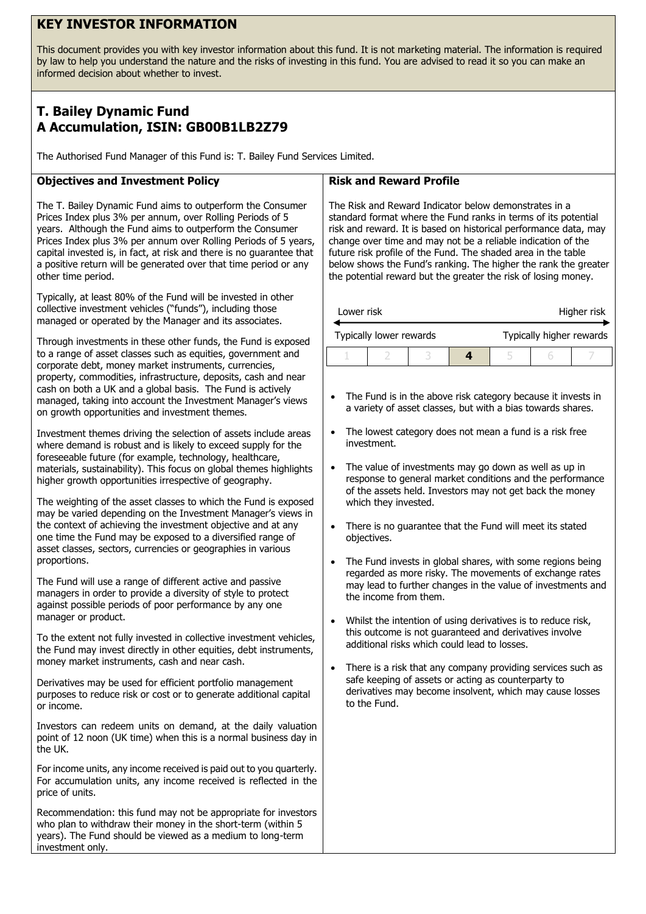# **KEY INVESTOR INFORMATION**

This document provides you with key investor information about this fund. It is not marketing material. The information is required by law to help you understand the nature and the risks of investing in this fund. You are advised to read it so you can make an informed decision about whether to invest.

# **T. Bailey Dynamic Fund A Accumulation, ISIN: GB00B1LB2Z79**

The Authorised Fund Manager of this Fund is: T. Bailey Fund Services Limited.

## **Objectives and Investment Policy**

The T. Bailey Dynamic Fund aims to outperform the Consumer Prices Index plus 3% per annum, over Rolling Periods of 5 years. Although the Fund aims to outperform the Consumer Prices Index plus 3% per annum over Rolling Periods of 5 years, capital invested is, in fact, at risk and there is no guarantee that a positive return will be generated over that time period or any other time period.

Typically, at least 80% of the Fund will be invested in other collective investment vehicles ("funds"), including those managed or operated by the Manager and its associates.

Through investments in these other funds, the Fund is exposed to a range of asset classes such as equities, government and corporate debt, money market instruments, currencies, property, commodities, infrastructure, deposits, cash and near cash on both a UK and a global basis. The Fund is actively managed, taking into account the Investment Manager's views on growth opportunities and investment themes.

Investment themes driving the selection of assets include areas where demand is robust and is likely to exceed supply for the foreseeable future (for example, technology, healthcare, materials, sustainability). This focus on global themes highlights higher growth opportunities irrespective of geography.

The weighting of the asset classes to which the Fund is exposed may be varied depending on the Investment Manager's views in the context of achieving the investment objective and at any one time the Fund may be exposed to a diversified range of asset classes, sectors, currencies or geographies in various proportions.

The Fund will use a range of different active and passive managers in order to provide a diversity of style to protect against possible periods of poor performance by any one manager or product.

To the extent not fully invested in collective investment vehicles, the Fund may invest directly in other equities, debt instruments, money market instruments, cash and near cash.

Derivatives may be used for efficient portfolio management purposes to reduce risk or cost or to generate additional capital or income.

Investors can redeem units on demand, at the daily valuation point of 12 noon (UK time) when this is a normal business day in the UK.

For income units, any income received is paid out to you quarterly. For accumulation units, any income received is reflected in the price of units.

Recommendation: this fund may not be appropriate for investors who plan to withdraw their money in the short-term (within 5 years). The Fund should be viewed as a medium to long-term investment only.

#### **Risk and Reward Profile**

The Risk and Reward Indicator below demonstrates in a standard format where the Fund ranks in terms of its potential risk and reward. It is based on historical performance data, may change over time and may not be a reliable indication of the future risk profile of the Fund. The shaded area in the table below shows the Fund's ranking. The higher the rank the greater the potential reward but the greater the risk of losing money.

| Lower risk              |  |  | Higher risk |                          |  |  |
|-------------------------|--|--|-------------|--------------------------|--|--|
| Typically lower rewards |  |  |             | Typically higher rewards |  |  |
|                         |  |  |             |                          |  |  |

- The Fund is in the above risk category because it invests in a variety of asset classes, but with a bias towards shares.
- The lowest category does not mean a fund is a risk free investment.
- The value of investments may go down as well as up in response to general market conditions and the performance of the assets held. Investors may not get back the money which they invested.
- There is no guarantee that the Fund will meet its stated objectives.
- The Fund invests in global shares, with some regions being regarded as more risky. The movements of exchange rates may lead to further changes in the value of investments and the income from them.
- Whilst the intention of using derivatives is to reduce risk, this outcome is not guaranteed and derivatives involve additional risks which could lead to losses.
- There is a risk that any company providing services such as safe keeping of assets or acting as counterparty to derivatives may become insolvent, which may cause losses to the Fund.